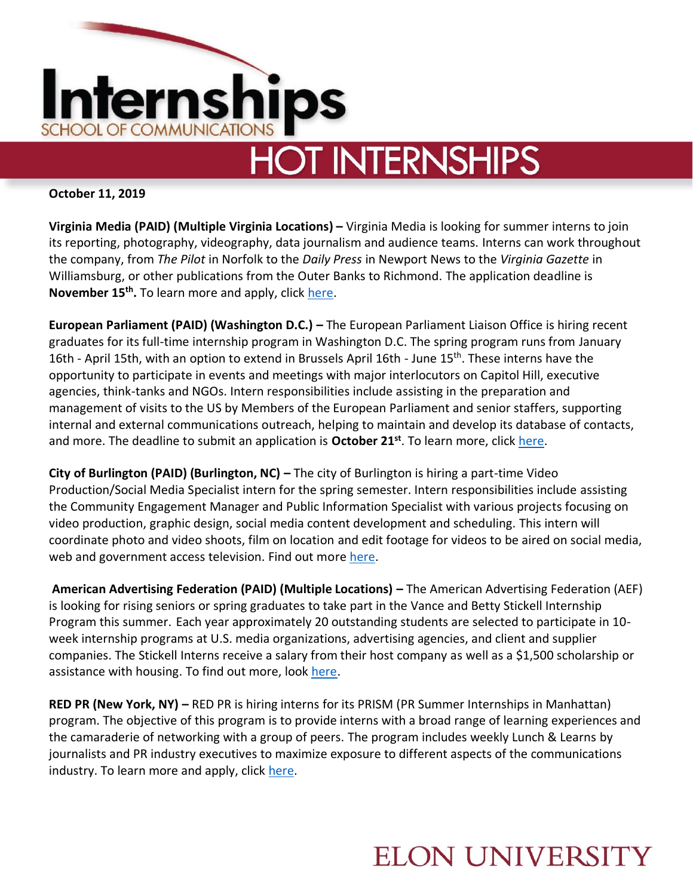

# **HOT INTERNSHIPS**

#### **October 11, 2019**

**Virginia Media (PAID) (Multiple Virginia Locations) –** Virginia Media is looking for summer interns to join its reporting, photography, videography, data journalism and audience teams. Interns can work throughout the company, from *The Pilot* in Norfolk to the *Daily Press* in Newport News to the *Virginia Gazette* in Williamsburg, or other publications from the Outer Banks to Richmond. The application deadline is November 15<sup>th</sup>. To learn more and apply, click [here.](https://www.pilotonline.com/about/intern/vp-internship-program-20190817-wzbebm23hrfqvphcszs45jlesy-story.html)

**European Parliament (PAID) (Washington D.C.) – The European Parliament Liaison Office is hiring recent** graduates for its full-time internship program in Washington D.C. The spring program runs from January 16th - April 15th, with an option to extend in Brussels April 16th - June 15<sup>th</sup>. These interns have the opportunity to participate in events and meetings with major interlocutors on Capitol Hill, executive agencies, think-tanks and NGOs. Intern responsibilities include assisting in the preparation and management of visits to the US by Members of the European Parliament and senior staffers, supporting internal and external communications outreach, helping to maintain and develop its database of contacts, and more. The deadline to submit an application is **October 21st** . To learn more, click [here.](http://www.europarl.europa.eu/unitedstates/en/internships)

**City of Burlington (PAID) (Burlington, NC) –** The city of Burlington is hiring a part-time Video Production/Social Media Specialist intern for the spring semester. Intern responsibilities include assisting the Community Engagement Manager and Public Information Specialist with various projects focusing on video production, graphic design, social media content development and scheduling. This intern will coordinate photo and video shoots, film on location and edit footage for videos to be aired on social media, web and government access television. Find out mor[e here.](/Users/cominternships/Desktop/City%20of%20Burlington%20Part-time%20Video%20and%20Social%20Media%20Specialist.pdf)

**American Advertising Federation (PAID) (Multiple Locations) –** The American Advertising Federation (AEF) is looking for rising seniors or spring graduates to take part in the Vance and Betty Stickell Internship Program this summer. Each year approximately 20 outstanding students are selected to participate in 10 week internship programs at U.S. media organizations, advertising agencies, and client and supplier companies. The Stickell Interns receive a salary from their host company as well as a \$1,500 scholarship or assistance with housing. To find out more, look [here.](https://www.aaf.org/AAFMemberR/Awards_and_Events/Awards/Vance_and_Betty_Stickell_Internship/About.aspx)

**RED PR (New York, NY) –** RED PR is hiring interns for its PRISM (PR Summer Internships in Manhattan) program. The objective of this program is to provide interns with a broad range of learning experiences and the camaraderie of networking with a group of peers. The program includes weekly Lunch & Learns by journalists and PR industry executives to maximize exposure to different aspects of the communications industry. To learn more and apply, click [here.](https://neuvoo.com/view/?id=fc9801cedf85&source=joveo_bulk2&utm_source=partner&utm_medium=joveo_bulk2&puid=fada3aed3de73de8bdagdd9f4aadfaabaaac3aea3de8bddbeed3addfdddcced3bbdbgbdd9cdcbed3fd&oapply=org_v2019-10&abt=v1&splitab=1&action=emailAlert)

### **ELON UNIVERSITY**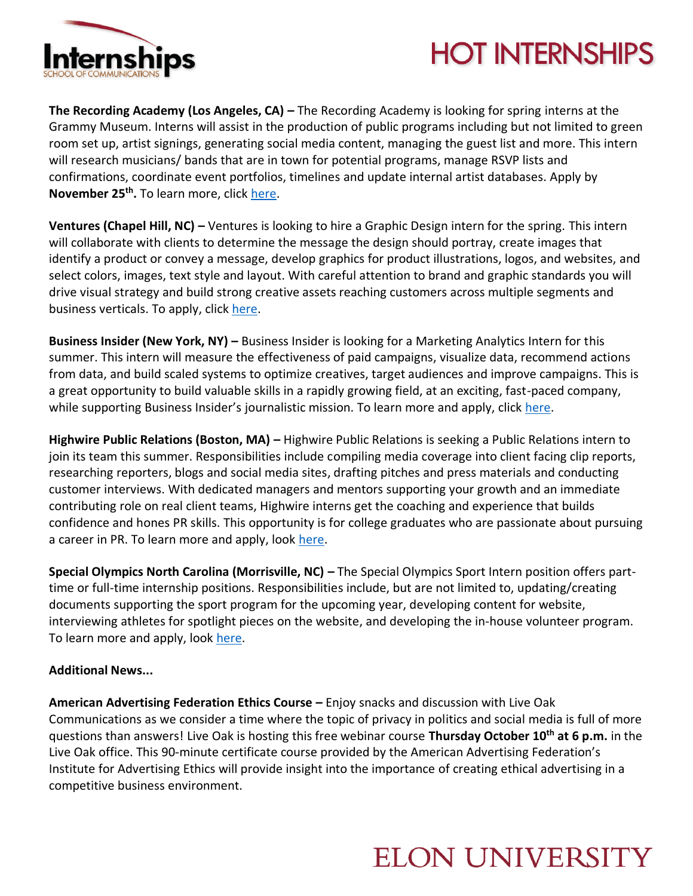

# **HOT INTERNSHIPS**

**The Recording Academy (Los Angeles, CA) –** The Recording Academy is looking for spring interns at the Grammy Museum. Interns will assist in the production of public programs including but not limited to green room set up, artist signings, generating social media content, managing the guest list and more. This intern will research musicians/ bands that are in town for potential programs, manage RSVP lists and confirmations, coordinate event portfolios, timelines and update internal artist databases. Apply by **November 25th .** To learn more, click [here.](https://www.glassdoor.com/job-listing/intern-public-programs-artist-relations-the-recording-academy-JV_IC1146821_KO0,39_KE40,61.htm?jl=3379141724&utm_campaign=google_jobs_apply&utm_source=google_jobs_apply&utm_medium=organic)

**Ventures (Chapel Hill, NC) –** Ventures is looking to hire a Graphic Design intern for the spring. This intern will collaborate with clients to determine the message the design should portray, create images that identify a product or convey a message, develop graphics for product illustrations, logos, and websites, and select colors, images, text style and layout. With careful attention to brand and graphic standards you will drive visual strategy and build strong creative assets reaching customers across multiple segments and business verticals. To apply, click [here.](https://us.jooble.org/desc/976306358166323056?extrlSrc=1&aplpopup=True&utm_source=linkedin&utm_medium=social&utm_campaign=US)

**Business Insider (New York, NY) –** Business Insider is looking for a Marketing Analytics Intern for this summer. This intern will measure the effectiveness of paid campaigns, visualize data, recommend actions from data, and build scaled systems to optimize creatives, target audiences and improve campaigns. This is a great opportunity to build valuable skills in a rapidly growing field, at an exciting, fast-paced company, while supporting Business Insider's journalistic mission. To learn more and apply, click [here.](https://hire.withgoogle.com/public/jobs/businessinsidercom/view/P_AAAAAAJAABuGCMicGwnkKo)

**Highwire Public Relations (Boston, MA) –** Highwire Public Relations is seeking a Public Relations intern to join its team this summer. Responsibilities include compiling media coverage into client facing clip reports, researching reporters, blogs and social media sites, drafting pitches and press materials and conducting customer interviews. With dedicated managers and mentors supporting your growth and an immediate contributing role on real client teams, Highwire interns get the coaching and experience that builds confidence and hones PR skills. This opportunity is for college graduates who are passionate about pursuing a career in PR. To learn more and apply, look [here.](https://www.glassdoor.com/job-listing/public-relations-intern-highwire-public-relations-JV_IC1154532_KO0,23_KE24,49.htm?jl=3350587099&utm_campaign=google_jobs_apply&utm_source=google_jobs_apply&utm_medium=organic)

**Special Olympics North Carolina (Morrisville, NC) –** The Special Olympics Sport Intern position offers parttime or full-time internship positions. Responsibilities include, but are not limited to, updating/creating documents supporting the sport program for the upcoming year, developing content for website, interviewing athletes for spotlight pieces on the website, and developing the in-house volunteer program. To learn more and apply, look [here.](https://topnorthcarolinacareers.com/jobs/sport-intern-morrisville-north-carolina/110191634-2/?utm_campaign=google_jobs_apply&utm_source=google_jobs_apply&utm_medium=organic)

#### **Additional News...**

**American Advertising Federation Ethics Course –** Enjoy snacks and discussion with Live Oak Communications as we consider a time where the topic of privacy in politics and social media is full of more questions than answers! Live Oak is hosting this free webinar course **Thursday October 10th at 6 p.m.** in the Live Oak office. This 90-minute certificate course provided by the American Advertising Federation's Institute for Advertising Ethics will provide insight into the importance of creating ethical advertising in a competitive business environment.

### **ELON UNIVERSITY**